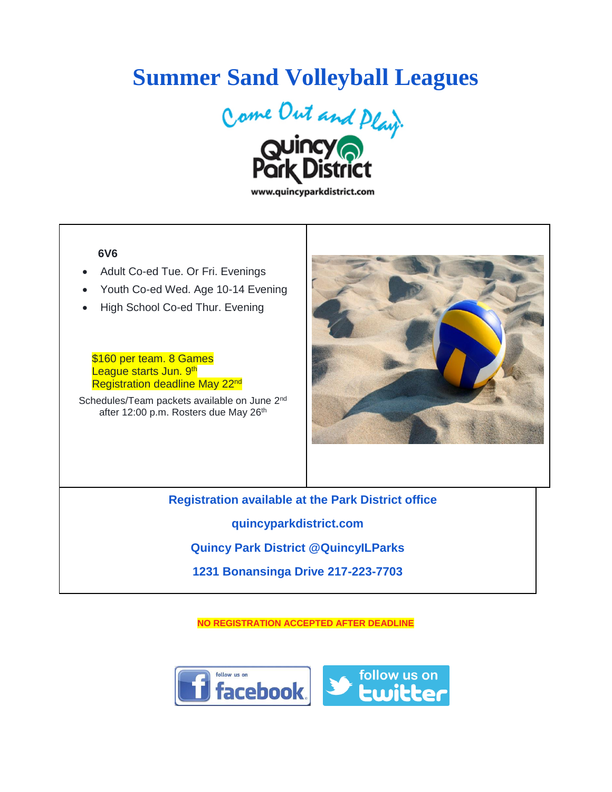## **Summer Sand Volleyball Leagues**



www.quincyparkdistrict.com

## **6V6**

- Adult Co-ed Tue. Or Fri. Evenings
- Youth Co-ed Wed. Age 10-14 Evening
- High School Co-ed Thur. Evening

\$160 per team. 8 Games League starts Jun. 9<sup>th</sup> Registration deadline May 22<sup>nd</sup>

Schedules/Team packets available on June 2<sup>nd</sup> after 12:00 p.m. Rosters due May 26<sup>th</sup>



**Registration available at the Park District office quincyparkdistrict.com Quincy Park District @QuincyILParks 1231 Bonansinga Drive 217-223-7703**

**NO REGISTRATION ACCEPTED AFTER DEADLINE**